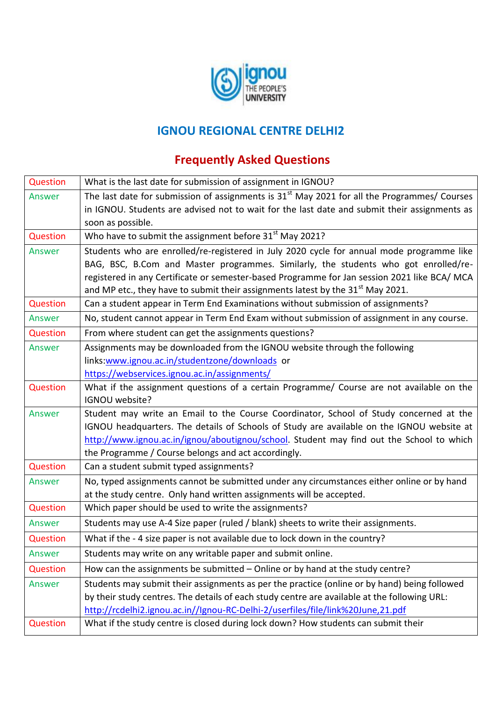

## **IGNOU REGIONAL CENTRE DELHI2**

## **Frequently Asked Questions**

| Question        | What is the last date for submission of assignment in IGNOU?                                   |
|-----------------|------------------------------------------------------------------------------------------------|
| Answer          | The last date for submission of assignments is $31st$ May 2021 for all the Programmes/ Courses |
|                 | in IGNOU. Students are advised not to wait for the last date and submit their assignments as   |
|                 | soon as possible.                                                                              |
| Question        | Who have to submit the assignment before 31 <sup>st</sup> May 2021?                            |
| Answer          | Students who are enrolled/re-registered in July 2020 cycle for annual mode programme like      |
|                 | BAG, BSC, B.Com and Master programmes. Similarly, the students who got enrolled/re-            |
|                 | registered in any Certificate or semester-based Programme for Jan session 2021 like BCA/ MCA   |
|                 | and MP etc., they have to submit their assignments latest by the 31 <sup>st</sup> May 2021.    |
| Question        | Can a student appear in Term End Examinations without submission of assignments?               |
| Answer          | No, student cannot appear in Term End Exam without submission of assignment in any course.     |
| Question        | From where student can get the assignments questions?                                          |
| Answer          | Assignments may be downloaded from the IGNOU website through the following                     |
|                 | links:www.ignou.ac.in/studentzone/downloads or                                                 |
|                 | https://webservices.ignou.ac.in/assignments/                                                   |
| Question        | What if the assignment questions of a certain Programme/ Course are not available on the       |
|                 | IGNOU website?                                                                                 |
| Answer          | Student may write an Email to the Course Coordinator, School of Study concerned at the         |
|                 | IGNOU headquarters. The details of Schools of Study are available on the IGNOU website at      |
|                 | http://www.ignou.ac.in/ignou/aboutignou/school. Student may find out the School to which       |
|                 | the Programme / Course belongs and act accordingly.                                            |
| Question        | Can a student submit typed assignments?                                                        |
| Answer          | No, typed assignments cannot be submitted under any circumstances either online or by hand     |
|                 | at the study centre. Only hand written assignments will be accepted.                           |
| Question        | Which paper should be used to write the assignments?                                           |
| Answer          | Students may use A-4 Size paper (ruled / blank) sheets to write their assignments.             |
| Question        | What if the - 4 size paper is not available due to lock down in the country?                   |
| Answer          | Students may write on any writable paper and submit online.                                    |
| <b>Question</b> | How can the assignments be submitted - Online or by hand at the study centre?                  |
| Answer          | Students may submit their assignments as per the practice (online or by hand) being followed   |
|                 | by their study centres. The details of each study centre are available at the following URL:   |
|                 | http://rcdelhi2.ignou.ac.in//Ignou-RC-Delhi-2/userfiles/file/link%20June,21.pdf                |
| Question        | What if the study centre is closed during lock down? How students can submit their             |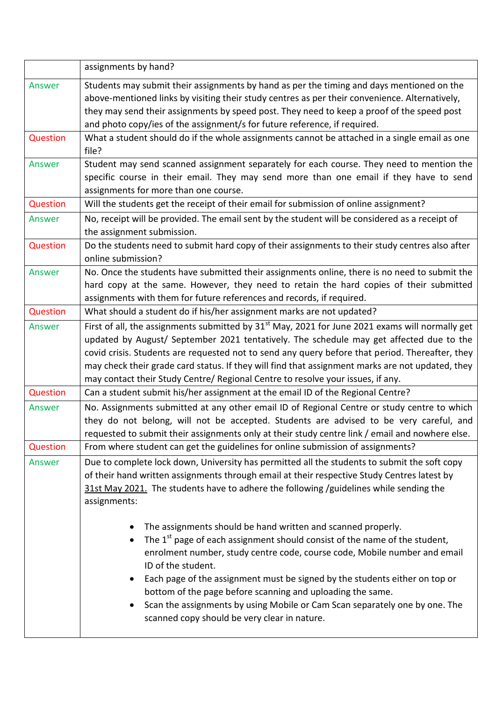|                 | assignments by hand?                                                                                                                                                                                                                                                                                                                                                                                                                                                                                                                     |
|-----------------|------------------------------------------------------------------------------------------------------------------------------------------------------------------------------------------------------------------------------------------------------------------------------------------------------------------------------------------------------------------------------------------------------------------------------------------------------------------------------------------------------------------------------------------|
| Answer          | Students may submit their assignments by hand as per the timing and days mentioned on the<br>above-mentioned links by visiting their study centres as per their convenience. Alternatively,<br>they may send their assignments by speed post. They need to keep a proof of the speed post<br>and photo copy/ies of the assignment/s for future reference, if required.                                                                                                                                                                   |
| Question        | What a student should do if the whole assignments cannot be attached in a single email as one<br>file?                                                                                                                                                                                                                                                                                                                                                                                                                                   |
| Answer          | Student may send scanned assignment separately for each course. They need to mention the<br>specific course in their email. They may send more than one email if they have to send<br>assignments for more than one course.                                                                                                                                                                                                                                                                                                              |
| Question        | Will the students get the receipt of their email for submission of online assignment?                                                                                                                                                                                                                                                                                                                                                                                                                                                    |
| Answer          | No, receipt will be provided. The email sent by the student will be considered as a receipt of<br>the assignment submission.                                                                                                                                                                                                                                                                                                                                                                                                             |
| Question        | Do the students need to submit hard copy of their assignments to their study centres also after<br>online submission?                                                                                                                                                                                                                                                                                                                                                                                                                    |
| Answer          | No. Once the students have submitted their assignments online, there is no need to submit the<br>hard copy at the same. However, they need to retain the hard copies of their submitted<br>assignments with them for future references and records, if required.                                                                                                                                                                                                                                                                         |
| Question        | What should a student do if his/her assignment marks are not updated?                                                                                                                                                                                                                                                                                                                                                                                                                                                                    |
| Answer          | First of all, the assignments submitted by $31st$ May, 2021 for June 2021 exams will normally get<br>updated by August/ September 2021 tentatively. The schedule may get affected due to the<br>covid crisis. Students are requested not to send any query before that period. Thereafter, they<br>may check their grade card status. If they will find that assignment marks are not updated, they<br>may contact their Study Centre/ Regional Centre to resolve your issues, if any.                                                   |
| Question        | Can a student submit his/her assignment at the email ID of the Regional Centre?                                                                                                                                                                                                                                                                                                                                                                                                                                                          |
| Answer          | No. Assignments submitted at any other email ID of Regional Centre or study centre to which<br>they do not belong, will not be accepted. Students are advised to be very careful, and<br>requested to submit their assignments only at their study centre link / email and nowhere else.                                                                                                                                                                                                                                                 |
| <b>Question</b> | From where student can get the guidelines for online submission of assignments?                                                                                                                                                                                                                                                                                                                                                                                                                                                          |
| Answer          | Due to complete lock down, University has permitted all the students to submit the soft copy<br>of their hand written assignments through email at their respective Study Centres latest by<br>31st May 2021. The students have to adhere the following /guidelines while sending the<br>assignments:                                                                                                                                                                                                                                    |
|                 | The assignments should be hand written and scanned properly.<br>The $1st$ page of each assignment should consist of the name of the student,<br>enrolment number, study centre code, course code, Mobile number and email<br>ID of the student.<br>Each page of the assignment must be signed by the students either on top or<br>$\bullet$<br>bottom of the page before scanning and uploading the same.<br>Scan the assignments by using Mobile or Cam Scan separately one by one. The<br>scanned copy should be very clear in nature. |